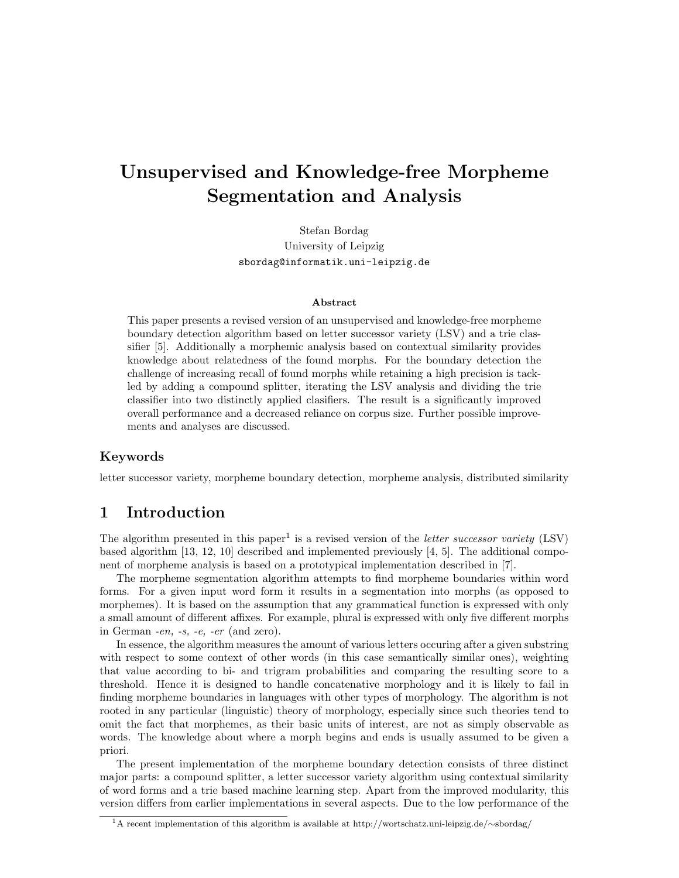# Unsupervised and Knowledge-free Morpheme Segmentation and Analysis

Stefan Bordag University of Leipzig sbordag@informatik.uni-leipzig.de

#### Abstract

This paper presents a revised version of an unsupervised and knowledge-free morpheme boundary detection algorithm based on letter successor variety (LSV) and a trie classifier [5]. Additionally a morphemic analysis based on contextual similarity provides knowledge about relatedness of the found morphs. For the boundary detection the challenge of increasing recall of found morphs while retaining a high precision is tackled by adding a compound splitter, iterating the LSV analysis and dividing the trie classifier into two distinctly applied clasifiers. The result is a significantly improved overall performance and a decreased reliance on corpus size. Further possible improvements and analyses are discussed.

## Keywords

letter successor variety, morpheme boundary detection, morpheme analysis, distributed similarity

## 1 Introduction

The algorithm presented in this paper<sup>1</sup> is a revised version of the *letter successor variety* (LSV) based algorithm [13, 12, 10] described and implemented previously [4, 5]. The additional component of morpheme analysis is based on a prototypical implementation described in [7].

The morpheme segmentation algorithm attempts to find morpheme boundaries within word forms. For a given input word form it results in a segmentation into morphs (as opposed to morphemes). It is based on the assumption that any grammatical function is expressed with only a small amount of different affixes. For example, plural is expressed with only five different morphs in German -en, -s, -e, -er (and zero).

In essence, the algorithm measures the amount of various letters occuring after a given substring with respect to some context of other words (in this case semantically similar ones), weighting that value according to bi- and trigram probabilities and comparing the resulting score to a threshold. Hence it is designed to handle concatenative morphology and it is likely to fail in finding morpheme boundaries in languages with other types of morphology. The algorithm is not rooted in any particular (linguistic) theory of morphology, especially since such theories tend to omit the fact that morphemes, as their basic units of interest, are not as simply observable as words. The knowledge about where a morph begins and ends is usually assumed to be given a priori.

The present implementation of the morpheme boundary detection consists of three distinct major parts: a compound splitter, a letter successor variety algorithm using contextual similarity of word forms and a trie based machine learning step. Apart from the improved modularity, this version differs from earlier implementations in several aspects. Due to the low performance of the

<sup>1</sup>A recent implementation of this algorithm is available at http://wortschatz.uni-leipzig.de/∼sbordag/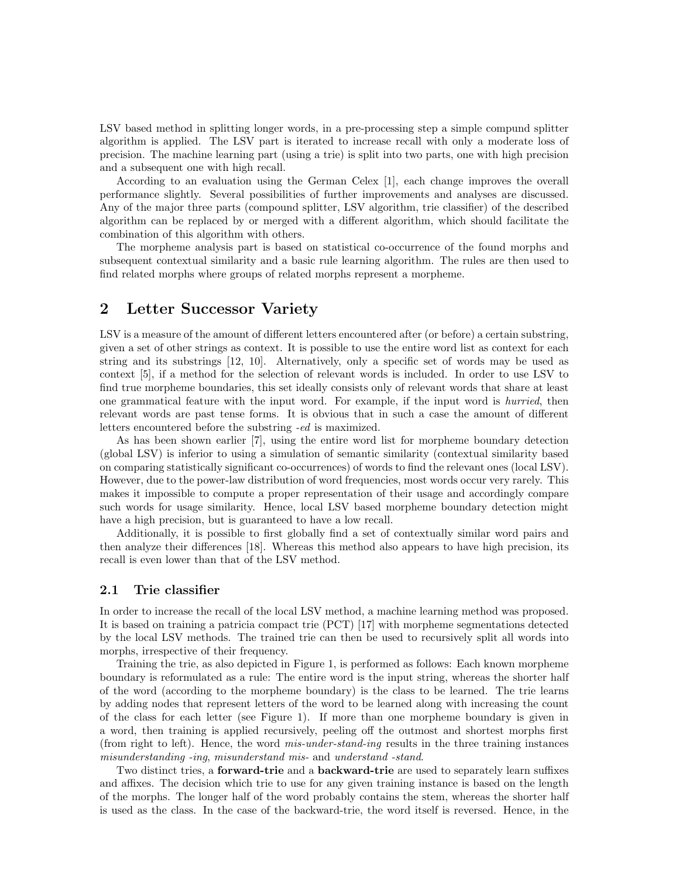LSV based method in splitting longer words, in a pre-processing step a simple compund splitter algorithm is applied. The LSV part is iterated to increase recall with only a moderate loss of precision. The machine learning part (using a trie) is split into two parts, one with high precision and a subsequent one with high recall.

According to an evaluation using the German Celex [1], each change improves the overall performance slightly. Several possibilities of further improvements and analyses are discussed. Any of the major three parts (compound splitter, LSV algorithm, trie classifier) of the described algorithm can be replaced by or merged with a different algorithm, which should facilitate the combination of this algorithm with others.

The morpheme analysis part is based on statistical co-occurrence of the found morphs and subsequent contextual similarity and a basic rule learning algorithm. The rules are then used to find related morphs where groups of related morphs represent a morpheme.

## 2 Letter Successor Variety

LSV is a measure of the amount of different letters encountered after (or before) a certain substring, given a set of other strings as context. It is possible to use the entire word list as context for each string and its substrings [12, 10]. Alternatively, only a specific set of words may be used as context [5], if a method for the selection of relevant words is included. In order to use LSV to find true morpheme boundaries, this set ideally consists only of relevant words that share at least one grammatical feature with the input word. For example, if the input word is hurried, then relevant words are past tense forms. It is obvious that in such a case the amount of different letters encountered before the substring -ed is maximized.

As has been shown earlier [7], using the entire word list for morpheme boundary detection (global LSV) is inferior to using a simulation of semantic similarity (contextual similarity based on comparing statistically significant co-occurrences) of words to find the relevant ones (local LSV). However, due to the power-law distribution of word frequencies, most words occur very rarely. This makes it impossible to compute a proper representation of their usage and accordingly compare such words for usage similarity. Hence, local LSV based morpheme boundary detection might have a high precision, but is guaranteed to have a low recall.

Additionally, it is possible to first globally find a set of contextually similar word pairs and then analyze their differences [18]. Whereas this method also appears to have high precision, its recall is even lower than that of the LSV method.

#### 2.1 Trie classifier

In order to increase the recall of the local LSV method, a machine learning method was proposed. It is based on training a patricia compact trie (PCT) [17] with morpheme segmentations detected by the local LSV methods. The trained trie can then be used to recursively split all words into morphs, irrespective of their frequency.

Training the trie, as also depicted in Figure 1, is performed as follows: Each known morpheme boundary is reformulated as a rule: The entire word is the input string, whereas the shorter half of the word (according to the morpheme boundary) is the class to be learned. The trie learns by adding nodes that represent letters of the word to be learned along with increasing the count of the class for each letter (see Figure 1). If more than one morpheme boundary is given in a word, then training is applied recursively, peeling off the outmost and shortest morphs first (from right to left). Hence, the word mis-under-stand-ing results in the three training instances misunderstanding -ing, misunderstand mis- and understand -stand.

Two distinct tries, a forward-trie and a backward-trie are used to separately learn suffixes and affixes. The decision which trie to use for any given training instance is based on the length of the morphs. The longer half of the word probably contains the stem, whereas the shorter half is used as the class. In the case of the backward-trie, the word itself is reversed. Hence, in the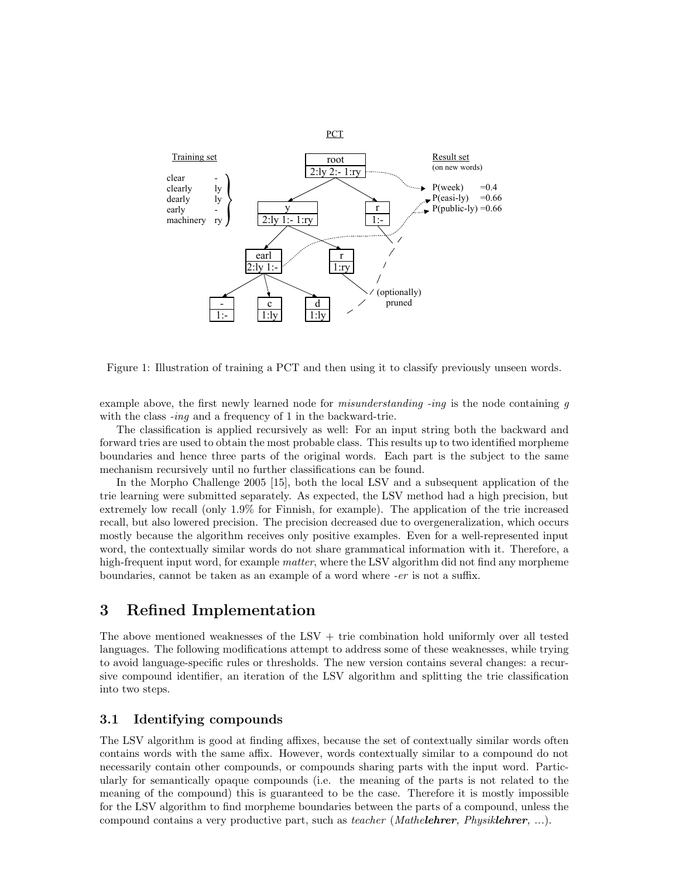

Figure 1: Illustration of training a PCT and then using it to classify previously unseen words.

example above, the first newly learned node for *misunderstanding -ing* is the node containing  $q$ with the class *-ing* and a frequency of 1 in the backward-trie.

The classification is applied recursively as well: For an input string both the backward and forward tries are used to obtain the most probable class. This results up to two identified morpheme boundaries and hence three parts of the original words. Each part is the subject to the same mechanism recursively until no further classifications can be found.

In the Morpho Challenge 2005 [15], both the local LSV and a subsequent application of the trie learning were submitted separately. As expected, the LSV method had a high precision, but extremely low recall (only 1.9% for Finnish, for example). The application of the trie increased recall, but also lowered precision. The precision decreased due to overgeneralization, which occurs mostly because the algorithm receives only positive examples. Even for a well-represented input word, the contextually similar words do not share grammatical information with it. Therefore, a high-frequent input word, for example *matter*, where the LSV algorithm did not find any morpheme boundaries, cannot be taken as an example of a word where  $-er$  is not a suffix.

# 3 Refined Implementation

The above mentioned weaknesses of the  $LSV + \text{trie combination hold uniformly over all tested}$ languages. The following modifications attempt to address some of these weaknesses, while trying to avoid language-specific rules or thresholds. The new version contains several changes: a recursive compound identifier, an iteration of the LSV algorithm and splitting the trie classification into two steps.

### 3.1 Identifying compounds

The LSV algorithm is good at finding affixes, because the set of contextually similar words often contains words with the same affix. However, words contextually similar to a compound do not necessarily contain other compounds, or compounds sharing parts with the input word. Particularly for semantically opaque compounds (i.e. the meaning of the parts is not related to the meaning of the compound) this is guaranteed to be the case. Therefore it is mostly impossible for the LSV algorithm to find morpheme boundaries between the parts of a compound, unless the compound contains a very productive part, such as teacher (Mathelehrer, Physiklehrer, ...).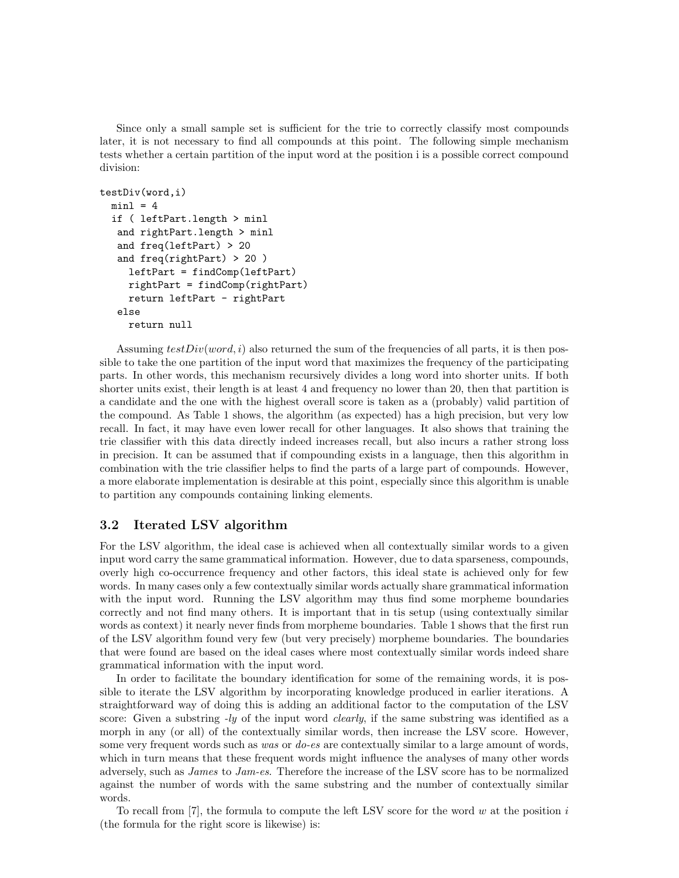Since only a small sample set is sufficient for the trie to correctly classify most compounds later, it is not necessary to find all compounds at this point. The following simple mechanism tests whether a certain partition of the input word at the position i is a possible correct compound division:

```
testDiv(word,i)
 min1 = 4if ( leftPart.length > minl
  and rightPart.length > minl
  and freq(leftPart) > 20
  and freq(rightPart) > 20 )
     leftPart = findComp(leftPart)
     rightPart = findComp(rightPart)
     return leftPart - rightPart
   else
     return null
```
Assuming  $testDiv(word, i)$  also returned the sum of the frequencies of all parts, it is then possible to take the one partition of the input word that maximizes the frequency of the participating parts. In other words, this mechanism recursively divides a long word into shorter units. If both shorter units exist, their length is at least 4 and frequency no lower than 20, then that partition is a candidate and the one with the highest overall score is taken as a (probably) valid partition of the compound. As Table 1 shows, the algorithm (as expected) has a high precision, but very low recall. In fact, it may have even lower recall for other languages. It also shows that training the trie classifier with this data directly indeed increases recall, but also incurs a rather strong loss in precision. It can be assumed that if compounding exists in a language, then this algorithm in combination with the trie classifier helps to find the parts of a large part of compounds. However, a more elaborate implementation is desirable at this point, especially since this algorithm is unable to partition any compounds containing linking elements.

### 3.2 Iterated LSV algorithm

For the LSV algorithm, the ideal case is achieved when all contextually similar words to a given input word carry the same grammatical information. However, due to data sparseness, compounds, overly high co-occurrence frequency and other factors, this ideal state is achieved only for few words. In many cases only a few contextually similar words actually share grammatical information with the input word. Running the LSV algorithm may thus find some morpheme boundaries correctly and not find many others. It is important that in tis setup (using contextually similar words as context) it nearly never finds from morpheme boundaries. Table 1 shows that the first run of the LSV algorithm found very few (but very precisely) morpheme boundaries. The boundaries that were found are based on the ideal cases where most contextually similar words indeed share grammatical information with the input word.

In order to facilitate the boundary identification for some of the remaining words, it is possible to iterate the LSV algorithm by incorporating knowledge produced in earlier iterations. A straightforward way of doing this is adding an additional factor to the computation of the LSV score: Given a substring -ly of the input word *clearly*, if the same substring was identified as a morph in any (or all) of the contextually similar words, then increase the LSV score. However, some very frequent words such as was or do-es are contextually similar to a large amount of words, which in turn means that these frequent words might influence the analyses of many other words adversely, such as James to Jam-es. Therefore the increase of the LSV score has to be normalized against the number of words with the same substring and the number of contextually similar words.

To recall from [7], the formula to compute the left LSV score for the word  $w$  at the position  $i$ (the formula for the right score is likewise) is: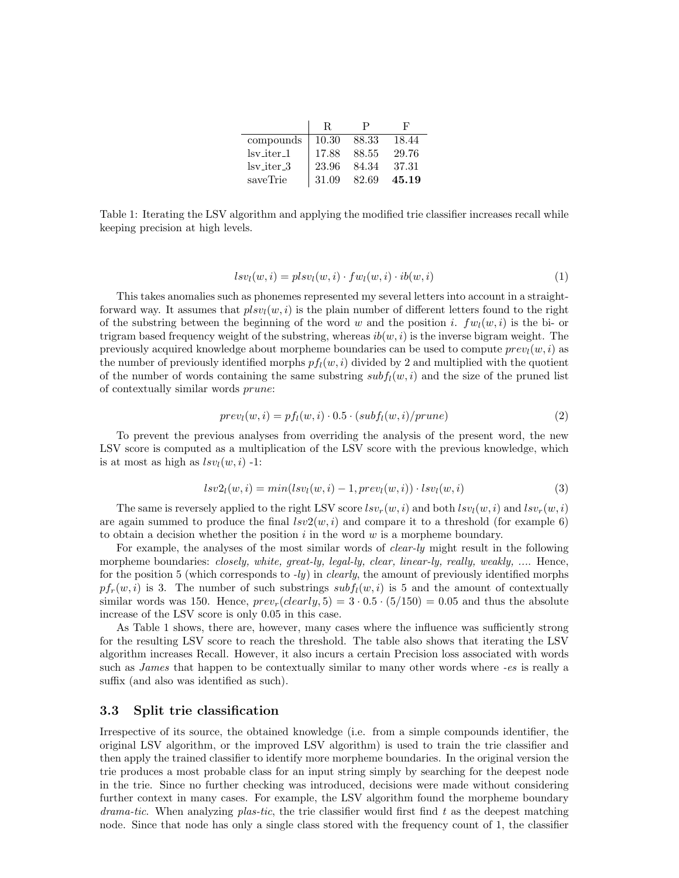|              | R.    | Ρ     | H,    |
|--------------|-------|-------|-------|
| compounds    | 10.30 | 88.33 | 18.44 |
| $lsv_iter_1$ | 17.88 | 88.55 | 29.76 |
| lsy iter 3   | 23.96 | 84.34 | 37.31 |
| saveTrie     | 31.09 | 82.69 | 45.19 |

Table 1: Iterating the LSV algorithm and applying the modified trie classifier increases recall while keeping precision at high levels.

$$
lsv_l(w,i) = plsv_l(w,i) \cdot fw_l(w,i) \cdot ib(w,i)
$$
\n
$$
(1)
$$

This takes anomalies such as phonemes represented my several letters into account in a straightforward way. It assumes that  $plsv_l(w, i)$  is the plain number of different letters found to the right of the substring between the beginning of the word w and the position i.  $fw_l(w, i)$  is the bi- or trigram based frequency weight of the substring, whereas  $ib(w, i)$  is the inverse bigram weight. The previously acquired knowledge about morpheme boundaries can be used to compute  $prev_l(w, i)$  as the number of previously identified morphs  $p f_l(w, i)$  divided by 2 and multiplied with the quotient of the number of words containing the same substring  $subf_l(w, i)$  and the size of the pruned list of contextually similar words prune:

$$
prev_l(w, i) = pf_l(w, i) \cdot 0.5 \cdot (subf_l(w, i) / prune)
$$
\n
$$
(2)
$$

To prevent the previous analyses from overriding the analysis of the present word, the new LSV score is computed as a multiplication of the LSV score with the previous knowledge, which is at most as high as  $lsv_l(w, i)$  -1:

$$
lsv2_l(w,i) = min(lsv_l(w,i) - 1, prev_l(w,i)) \cdot lsv_l(w,i)
$$
\n
$$
(3)
$$

The same is reversely applied to the right LSV score  $lsv_r(w, i)$  and both  $lsv_l(w, i)$  and  $lsv_r(w, i)$ are again summed to produce the final  $lsv2(w, i)$  and compare it to a threshold (for example 6) to obtain a decision whether the position  $i$  in the word  $w$  is a morpheme boundary.

For example, the analyses of the most similar words of *clear-ly* might result in the following morpheme boundaries: closely, white, great-ly, legal-ly, clear, linear-ly, really, weakly, .... Hence, for the position 5 (which corresponds to  $-ly$ ) in *clearly*, the amount of previously identified morphs  $pf_r(w, i)$  is 3. The number of such substrings  $subf_l(w, i)$  is 5 and the amount of contextually similar words was 150. Hence,  $prev_r(clearly, 5) = 3 \cdot 0.5 \cdot (5/150) = 0.05$  and thus the absolute increase of the LSV score is only 0.05 in this case.

As Table 1 shows, there are, however, many cases where the influence was sufficiently strong for the resulting LSV score to reach the threshold. The table also shows that iterating the LSV algorithm increases Recall. However, it also incurs a certain Precision loss associated with words such as *James* that happen to be contextually similar to many other words where *-es* is really a suffix (and also was identified as such).

#### 3.3 Split trie classification

Irrespective of its source, the obtained knowledge (i.e. from a simple compounds identifier, the original LSV algorithm, or the improved LSV algorithm) is used to train the trie classifier and then apply the trained classifier to identify more morpheme boundaries. In the original version the trie produces a most probable class for an input string simply by searching for the deepest node in the trie. Since no further checking was introduced, decisions were made without considering further context in many cases. For example, the LSV algorithm found the morpheme boundary  $d$ rama-tic. When analyzing plas-tic, the trie classifier would first find t as the deepest matching node. Since that node has only a single class stored with the frequency count of 1, the classifier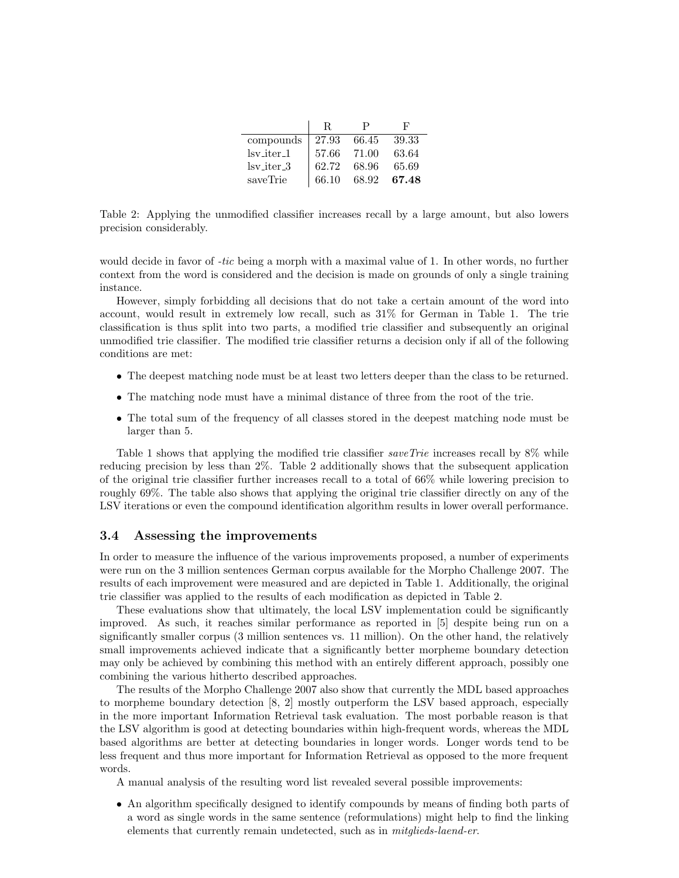|              | R.    |       | н,    |
|--------------|-------|-------|-------|
| compounds    | 27.93 | 66.45 | 39.33 |
| $lsv_iter_1$ | 57.66 | 71.00 | 63.64 |
| $lsv_iter_3$ | 62.72 | 68.96 | 65.69 |
| saveTrie     | 66.10 | 68.92 | 67.48 |

Table 2: Applying the unmodified classifier increases recall by a large amount, but also lowers precision considerably.

would decide in favor of *-tic* being a morph with a maximal value of 1. In other words, no further context from the word is considered and the decision is made on grounds of only a single training instance.

However, simply forbidding all decisions that do not take a certain amount of the word into account, would result in extremely low recall, such as 31% for German in Table 1. The trie classification is thus split into two parts, a modified trie classifier and subsequently an original unmodified trie classifier. The modified trie classifier returns a decision only if all of the following conditions are met:

- The deepest matching node must be at least two letters deeper than the class to be returned.
- The matching node must have a minimal distance of three from the root of the trie.
- The total sum of the frequency of all classes stored in the deepest matching node must be larger than 5.

Table 1 shows that applying the modified trie classifier *saveTrie* increases recall by 8% while reducing precision by less than 2%. Table 2 additionally shows that the subsequent application of the original trie classifier further increases recall to a total of 66% while lowering precision to roughly 69%. The table also shows that applying the original trie classifier directly on any of the LSV iterations or even the compound identification algorithm results in lower overall performance.

### 3.4 Assessing the improvements

In order to measure the influence of the various improvements proposed, a number of experiments were run on the 3 million sentences German corpus available for the Morpho Challenge 2007. The results of each improvement were measured and are depicted in Table 1. Additionally, the original trie classifier was applied to the results of each modification as depicted in Table 2.

These evaluations show that ultimately, the local LSV implementation could be significantly improved. As such, it reaches similar performance as reported in [5] despite being run on a significantly smaller corpus (3 million sentences vs. 11 million). On the other hand, the relatively small improvements achieved indicate that a significantly better morpheme boundary detection may only be achieved by combining this method with an entirely different approach, possibly one combining the various hitherto described approaches.

The results of the Morpho Challenge 2007 also show that currently the MDL based approaches to morpheme boundary detection [8, 2] mostly outperform the LSV based approach, especially in the more important Information Retrieval task evaluation. The most porbable reason is that the LSV algorithm is good at detecting boundaries within high-frequent words, whereas the MDL based algorithms are better at detecting boundaries in longer words. Longer words tend to be less frequent and thus more important for Information Retrieval as opposed to the more frequent words.

A manual analysis of the resulting word list revealed several possible improvements:

• An algorithm specifically designed to identify compounds by means of finding both parts of a word as single words in the same sentence (reformulations) might help to find the linking elements that currently remain undetected, such as in mitglieds-laend-er.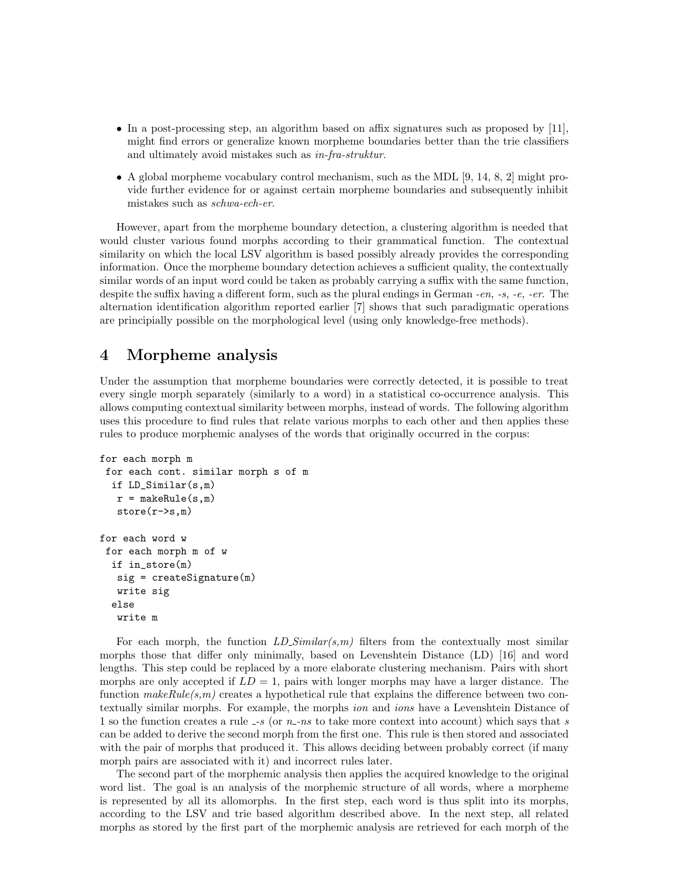- In a post-processing step, an algorithm based on affix signatures such as proposed by [11], might find errors or generalize known morpheme boundaries better than the trie classifiers and ultimately avoid mistakes such as in-fra-struktur.
- A global morpheme vocabulary control mechanism, such as the MDL [9, 14, 8, 2] might provide further evidence for or against certain morpheme boundaries and subsequently inhibit mistakes such as schwa-ech-er.

However, apart from the morpheme boundary detection, a clustering algorithm is needed that would cluster various found morphs according to their grammatical function. The contextual similarity on which the local LSV algorithm is based possibly already provides the corresponding information. Once the morpheme boundary detection achieves a sufficient quality, the contextually similar words of an input word could be taken as probably carrying a suffix with the same function, despite the suffix having a different form, such as the plural endings in German -en, -s, -e, -er. The alternation identification algorithm reported earlier [7] shows that such paradigmatic operations are principially possible on the morphological level (using only knowledge-free methods).

# 4 Morpheme analysis

Under the assumption that morpheme boundaries were correctly detected, it is possible to treat every single morph separately (similarly to a word) in a statistical co-occurrence analysis. This allows computing contextual similarity between morphs, instead of words. The following algorithm uses this procedure to find rules that relate various morphs to each other and then applies these rules to produce morphemic analyses of the words that originally occurred in the corpus:

```
for each morph m
for each cont. similar morph s of m
  if LD_Similar(s,m)
   r = makeRule(s,m)
   store(r->s,m)
for each word w
for each morph m of w
  if in_store(m)
  sig = createSignature(m)
  write sig
  else
  write m
```
For each morph, the function  $LD\text{-}Similar(s,m)$  filters from the contextually most similar morphs those that differ only minimally, based on Levenshtein Distance (LD) [16] and word lengths. This step could be replaced by a more elaborate clustering mechanism. Pairs with short morphs are only accepted if  $LD = 1$ , pairs with longer morphs may have a larger distance. The function  $makeRule(s, m)$  creates a hypothetical rule that explains the difference between two contextually similar morphs. For example, the morphs ion and ions have a Levenshtein Distance of 1 so the function creates a rule  $-$ -s (or  $n$ -ns to take more context into account) which says that s can be added to derive the second morph from the first one. This rule is then stored and associated with the pair of morphs that produced it. This allows deciding between probably correct (if many morph pairs are associated with it) and incorrect rules later.

The second part of the morphemic analysis then applies the acquired knowledge to the original word list. The goal is an analysis of the morphemic structure of all words, where a morpheme is represented by all its allomorphs. In the first step, each word is thus split into its morphs, according to the LSV and trie based algorithm described above. In the next step, all related morphs as stored by the first part of the morphemic analysis are retrieved for each morph of the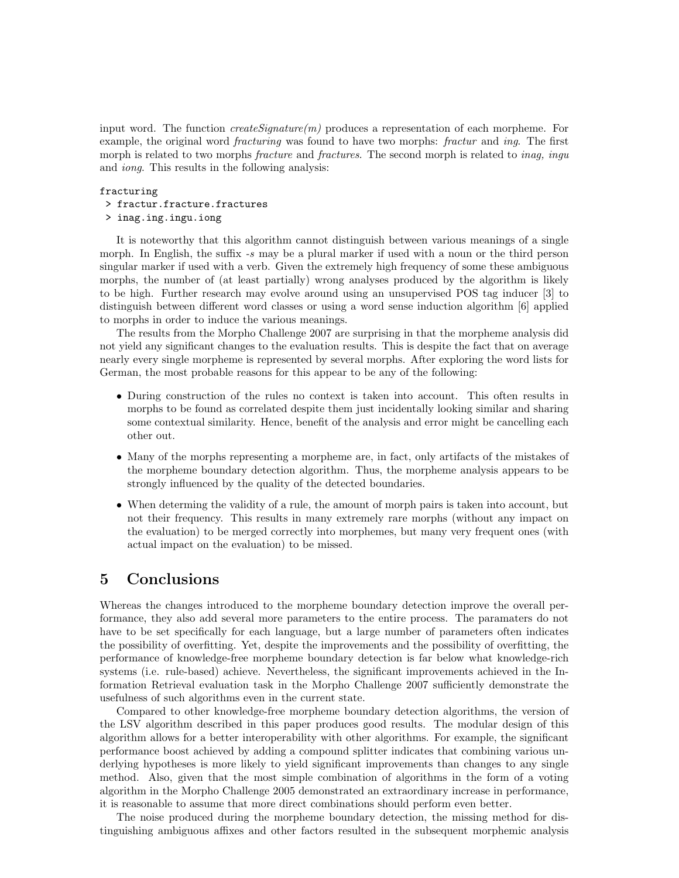input word. The function *createSignature(m)* produces a representation of each morpheme. For example, the original word *fracturing* was found to have two morphs: *fractur* and *ing*. The first morph is related to two morphs *fracture* and *fractures*. The second morph is related to *inag, ingu* and iong. This results in the following analysis:

#### fracturing

#### > fractur.fracture.fractures

> inag.ing.ingu.iong

It is noteworthy that this algorithm cannot distinguish between various meanings of a single morph. In English, the suffix  $-s$  may be a plural marker if used with a noun or the third person singular marker if used with a verb. Given the extremely high frequency of some these ambiguous morphs, the number of (at least partially) wrong analyses produced by the algorithm is likely to be high. Further research may evolve around using an unsupervised POS tag inducer [3] to distinguish between different word classes or using a word sense induction algorithm [6] applied to morphs in order to induce the various meanings.

The results from the Morpho Challenge 2007 are surprising in that the morpheme analysis did not yield any significant changes to the evaluation results. This is despite the fact that on average nearly every single morpheme is represented by several morphs. After exploring the word lists for German, the most probable reasons for this appear to be any of the following:

- During construction of the rules no context is taken into account. This often results in morphs to be found as correlated despite them just incidentally looking similar and sharing some contextual similarity. Hence, benefit of the analysis and error might be cancelling each other out.
- Many of the morphs representing a morpheme are, in fact, only artifacts of the mistakes of the morpheme boundary detection algorithm. Thus, the morpheme analysis appears to be strongly influenced by the quality of the detected boundaries.
- When determing the validity of a rule, the amount of morph pairs is taken into account, but not their frequency. This results in many extremely rare morphs (without any impact on the evaluation) to be merged correctly into morphemes, but many very frequent ones (with actual impact on the evaluation) to be missed.

## 5 Conclusions

Whereas the changes introduced to the morpheme boundary detection improve the overall performance, they also add several more parameters to the entire process. The paramaters do not have to be set specifically for each language, but a large number of parameters often indicates the possibility of overfitting. Yet, despite the improvements and the possibility of overfitting, the performance of knowledge-free morpheme boundary detection is far below what knowledge-rich systems (i.e. rule-based) achieve. Nevertheless, the significant improvements achieved in the Information Retrieval evaluation task in the Morpho Challenge 2007 sufficiently demonstrate the usefulness of such algorithms even in the current state.

Compared to other knowledge-free morpheme boundary detection algorithms, the version of the LSV algorithm described in this paper produces good results. The modular design of this algorithm allows for a better interoperability with other algorithms. For example, the significant performance boost achieved by adding a compound splitter indicates that combining various underlying hypotheses is more likely to yield significant improvements than changes to any single method. Also, given that the most simple combination of algorithms in the form of a voting algorithm in the Morpho Challenge 2005 demonstrated an extraordinary increase in performance, it is reasonable to assume that more direct combinations should perform even better.

The noise produced during the morpheme boundary detection, the missing method for distinguishing ambiguous affixes and other factors resulted in the subsequent morphemic analysis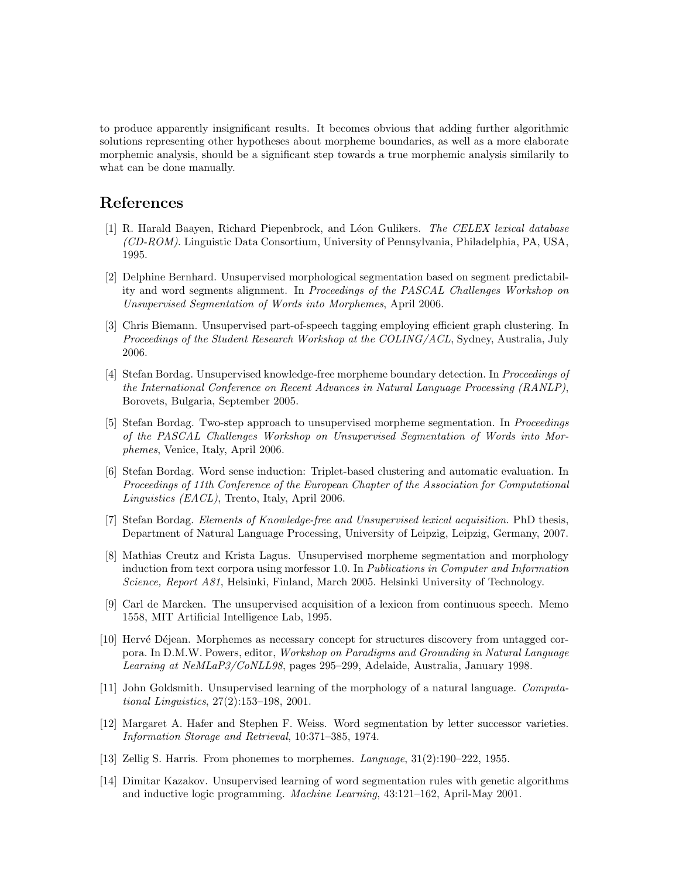to produce apparently insignificant results. It becomes obvious that adding further algorithmic solutions representing other hypotheses about morpheme boundaries, as well as a more elaborate morphemic analysis, should be a significant step towards a true morphemic analysis similarily to what can be done manually.

# References

- [1] R. Harald Baayen, Richard Piepenbrock, and Léon Gulikers. The CELEX lexical database (CD-ROM). Linguistic Data Consortium, University of Pennsylvania, Philadelphia, PA, USA, 1995.
- [2] Delphine Bernhard. Unsupervised morphological segmentation based on segment predictability and word segments alignment. In Proceedings of the PASCAL Challenges Workshop on Unsupervised Segmentation of Words into Morphemes, April 2006.
- [3] Chris Biemann. Unsupervised part-of-speech tagging employing efficient graph clustering. In Proceedings of the Student Research Workshop at the COLING/ACL, Sydney, Australia, July 2006.
- [4] Stefan Bordag. Unsupervised knowledge-free morpheme boundary detection. In Proceedings of the International Conference on Recent Advances in Natural Language Processing (RANLP), Borovets, Bulgaria, September 2005.
- [5] Stefan Bordag. Two-step approach to unsupervised morpheme segmentation. In Proceedings of the PASCAL Challenges Workshop on Unsupervised Segmentation of Words into Morphemes, Venice, Italy, April 2006.
- [6] Stefan Bordag. Word sense induction: Triplet-based clustering and automatic evaluation. In Proceedings of 11th Conference of the European Chapter of the Association for Computational Linguistics (EACL), Trento, Italy, April 2006.
- [7] Stefan Bordag. Elements of Knowledge-free and Unsupervised lexical acquisition. PhD thesis, Department of Natural Language Processing, University of Leipzig, Leipzig, Germany, 2007.
- [8] Mathias Creutz and Krista Lagus. Unsupervised morpheme segmentation and morphology induction from text corpora using morfessor 1.0. In Publications in Computer and Information Science, Report A81, Helsinki, Finland, March 2005. Helsinki University of Technology.
- [9] Carl de Marcken. The unsupervised acquisition of a lexicon from continuous speech. Memo 1558, MIT Artificial Intelligence Lab, 1995.
- [10] Hervé Déjean. Morphemes as necessary concept for structures discovery from untagged corpora. In D.M.W. Powers, editor, Workshop on Paradigms and Grounding in Natural Language Learning at NeMLaP3/CoNLL98, pages 295–299, Adelaide, Australia, January 1998.
- [11] John Goldsmith. Unsupervised learning of the morphology of a natural language. Computational Linguistics, 27(2):153–198, 2001.
- [12] Margaret A. Hafer and Stephen F. Weiss. Word segmentation by letter successor varieties. Information Storage and Retrieval, 10:371–385, 1974.
- [13] Zellig S. Harris. From phonemes to morphemes. Language, 31(2):190–222, 1955.
- [14] Dimitar Kazakov. Unsupervised learning of word segmentation rules with genetic algorithms and inductive logic programming. Machine Learning, 43:121–162, April-May 2001.